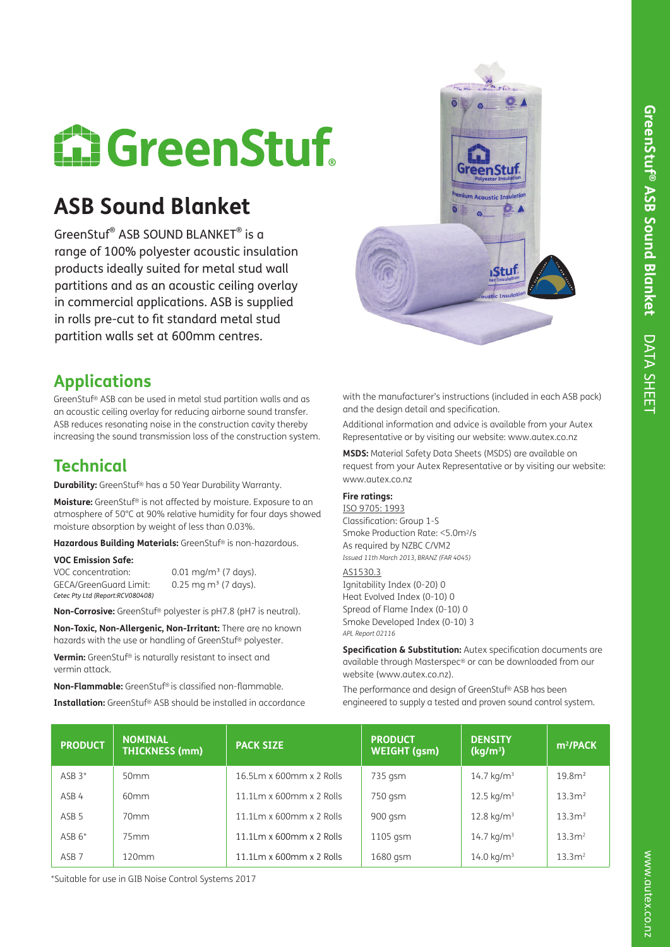# **E: GreenStuf**

## **ASB Sound Blanket**

GreenStuf® ASB SOUND BLANKET® is a range of 100% polyester acoustic insulation products ideally suited for metal stud wall partitions and as an acoustic ceiling overlay in commercial applications. ASB is supplied in rolls pre-cut to fit standard metal stud partition walls set at 600mm centres.

## **Applications**

GreenStuf® ASB can be used in metal stud partition walls and as an acoustic ceiling overlay for reducing airborne sound transfer. ASB reduces resonating noise in the construction cavity thereby increasing the sound transmission loss of the construction system.

## **Technical**

**Durability:** GreenStuf® has a 50 Year Durability Warranty.

**Moisture:** GreenStuf® is not affected by moisture. Exposure to an atmosphere of 50°C at 90% relative humidity for four days showed moisture absorption by weight of less than 0.03%.

**Hazardous Building Materials:** GreenStuf® is non-hazardous.

#### **VOC Emission Safe:**

VOC concentration: 0.01 mg/m<sup>3</sup> (7 days). GECA/GreenGuard Limit:  $0.25$  mg m<sup>3</sup> (7 days). *Cetec Pty Ltd (Report:RCV080408)*

**Non-Corrosive:** GreenStuf® polyester is pH7.8 (pH7 is neutral).

**Non-Toxic, Non-Allergenic, Non-Irritant:** There are no known hazards with the use or handling of GreenStuf® polyester.

**Vermin:** GreenStuf® is naturally resistant to insect and vermin attack.

**Non-Flammable:** GreenStuf® is classified non-flammable.

**Installation:** GreenStuf® ASB should be installed in accordance

with the manufacturer's instructions (included in each ASB pack) and the design detail and specification.

Additional information and advice is available from your Autex Representative or by visiting our website: www.autex.co.nz

**MSDS:** Material Safety Data Sheets (MSDS) are available on request from your Autex Representative or by visiting our website: www.autex.co.nz

#### **Fire ratings:**

### ISO 9705: 1993

Classification: Group 1-S Smoke Production Rate: <5.0m2/s As required by NZBC C/VM2 *Issued 11th March 2013, BRANZ (FAR 4045)* 

AS1530.3

Ignitability Index (0-20) 0 Heat Evolved Index (0-10) 0 Spread of Flame Index (0-10) 0 Smoke Developed Index (0-10) 3 *APL Report 02116*

**Specification & Substitution:** Autex specification documents are available through Masterspec® or can be downloaded from our website (www.autex.co.nz).

The performance and design of GreenStuf® ASB has been engineered to supply a tested and proven sound control system.

| <b>PRODUCT</b>   | <b>NOMINAL</b><br><b>THICKNESS (mm)</b> | <b>PACK SIZE</b>            | <b>PRODUCT</b><br><b>WEIGHT (gsm)</b> | <b>DENSITY</b><br>(kg/m <sup>3</sup> ) | $m^2$ /PACK       |
|------------------|-----------------------------------------|-----------------------------|---------------------------------------|----------------------------------------|-------------------|
| $ASB3*$          | 50 <sub>mm</sub>                        | $16.5$ Lm x 600mm x 2 Rolls | 735 gsm                               | $14.7 \text{ kg/m}^3$                  | 19.8 <sup>2</sup> |
| ASB 4            | 60mm                                    | 11.1Lm x 600mm x 2 Rolls    | 750 gsm                               | $12.5 \text{ kg/m}^3$                  | 13.3 <sup>2</sup> |
| ASB <sub>5</sub> | 70 <sub>mm</sub>                        | $11.1$ Lm x 600mm x 2 Rolls | 900 gsm                               | $12.8 \text{ kg/m}^3$                  | 13.3 <sup>2</sup> |
| $ASB 6*$         | 75mm                                    | 11.1Lm x 600mm x 2 Rolls    | 1105 gsm                              | $14.7 \text{ kg/m}^3$                  | 13.3 <sup>2</sup> |
| ASB <sub>7</sub> | 120mm                                   | 11.1Lm x 600mm x 2 Rolls    | 1680 gsm                              | $14.0 \text{ kg/m}^3$                  | 13.3 <sup>2</sup> |

\*Suitable for use in GIB Noise Control Systems 2017